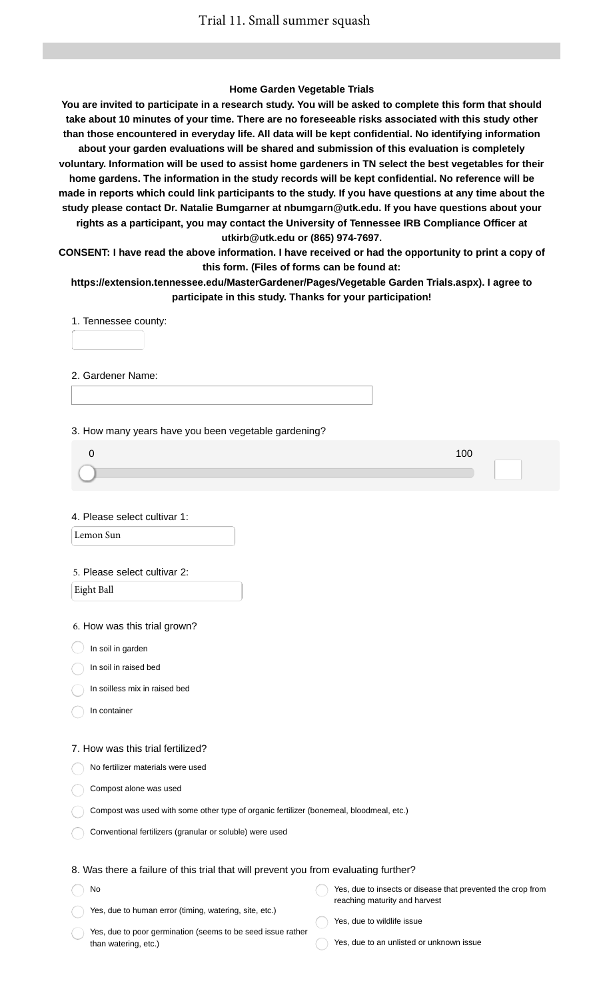### **Home Garden Vegetable Trials**

**You are invited to participate in a research study. You will be asked to complete this form that should take about 10 minutes of your time. There are no foreseeable risks associated with this study other than those encountered in everyday life. All data will be kept confidential. No identifying information about your garden evaluations will be shared and submission of this evaluation is completely voluntary. Information will be used to assist home gardeners in TN select the best vegetables for their home gardens. The information in the study records will be kept confidential. No reference will be made in reports which could link participants to the study. If you have questions at any time about the study please contact Dr. Natalie Bumgarner at nbumgarn@utk.edu. If you have questions about your rights as a participant, you may contact the University of Tennessee IRB Compliance Officer at utkirb@utk.edu or (865) 974-7697.**

**CONSENT: I have read the above information. I have received or had the opportunity to print a copy of this form. (Files of forms can be found at:**

**https://extension.tennessee.edu/MasterGardener/Pages/Vegetable Garden Trials.aspx). I agree to participate in this study. Thanks for your participation!**

1. Tennessee county:

2. Gardener Name:

3. How many years have you been vegetable gardening?

| 100 |
|-----|
|     |
|     |

4. Please select cultivar 1:

Lemon Sun

#### 5. Please select cultivar 2:

Eight Ball

6. How was this trial grown?

 $\big)$  In soil in garden

In soil in raised bed

In soilless mix in raised bed

In container

No

#### 7. How was this trial fertilized?

No fertilizer materials were used

Compost alone was used

Compost was used with some other type of organic fertilizer (bonemeal, bloodmeal, etc.)

Conventional fertilizers (granular or soluble) were used

## 8. Was there a failure of this trial that will prevent you from evaluating further?

Yes, due to human error (timing, watering, site, etc.) Yes, due to insects or disease that prevented the crop from reaching maturity and harvest

Yes, due to poor germination (seems to be seed issue rather than watering, etc.)

Yes, due to wildlife issue

Yes, due to an unlisted or unknown issue